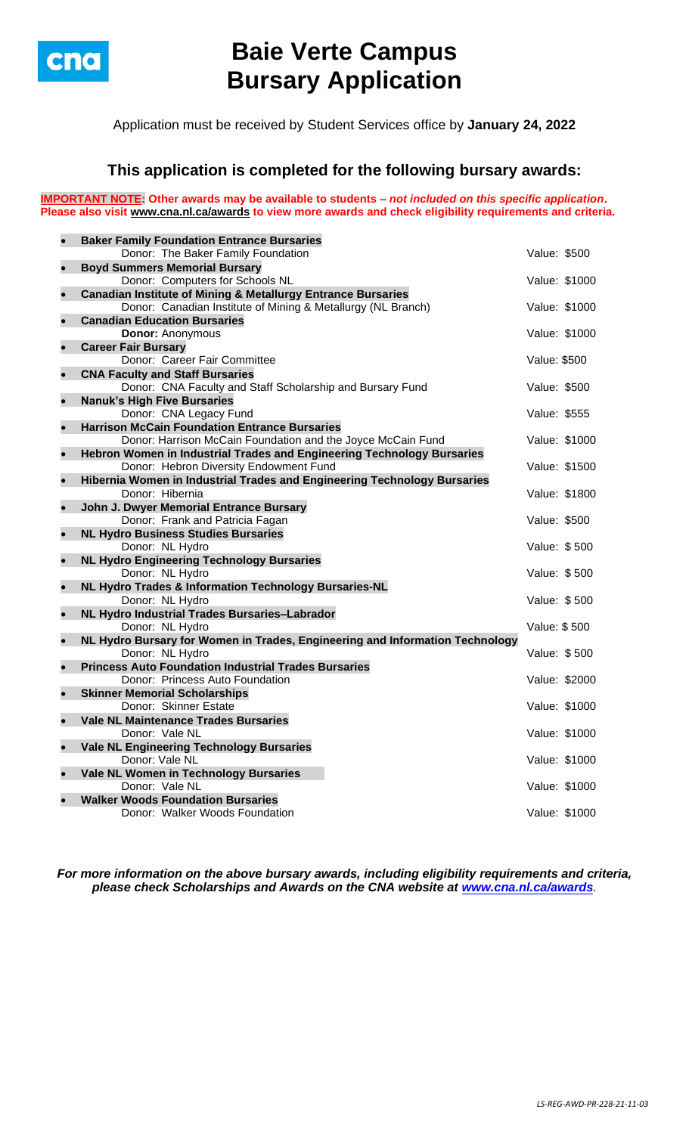

# **Baie Verte Campus Bursary Application**

Application must be received by Student Services office by **January 24, 2022**

## **This application is completed for the following bursary awards:**

**IMPORTANT NOTE: Other awards may be available to students –** *not included on this specific application***. Please also visit [www.cna.nl.ca/awards](http://www.cna.nl.ca/awards) to view more awards and check eligibility requirements and criteria.**

| $\bullet$ | <b>Baker Family Foundation Entrance Bursaries</b>                              |               |               |
|-----------|--------------------------------------------------------------------------------|---------------|---------------|
|           | Donor: The Baker Family Foundation                                             | Value: \$500  |               |
| $\bullet$ | <b>Boyd Summers Memorial Bursary</b>                                           |               |               |
|           | Donor: Computers for Schools NL                                                | Value: \$1000 |               |
| $\bullet$ | <b>Canadian Institute of Mining &amp; Metallurgy Entrance Bursaries</b>        |               |               |
|           | Donor: Canadian Institute of Mining & Metallurgy (NL Branch)                   |               | Value: \$1000 |
| $\bullet$ | <b>Canadian Education Bursaries</b><br><b>Donor: Anonymous</b>                 | Value: \$1000 |               |
| $\bullet$ | <b>Career Fair Bursary</b>                                                     |               |               |
|           | Donor: Career Fair Committee                                                   | Value: \$500  |               |
| $\bullet$ | <b>CNA Faculty and Staff Bursaries</b>                                         |               |               |
|           | Donor: CNA Faculty and Staff Scholarship and Bursary Fund                      | Value: \$500  |               |
| $\bullet$ | <b>Nanuk's High Five Bursaries</b>                                             |               |               |
|           | Donor: CNA Legacy Fund                                                         | Value: \$555  |               |
| $\bullet$ | <b>Harrison McCain Foundation Entrance Bursaries</b>                           |               |               |
|           | Donor: Harrison McCain Foundation and the Joyce McCain Fund                    | Value: \$1000 |               |
| $\bullet$ | Hebron Women in Industrial Trades and Engineering Technology Bursaries         |               |               |
|           | Donor: Hebron Diversity Endowment Fund                                         | Value: \$1500 |               |
| $\bullet$ | Hibernia Women in Industrial Trades and Engineering Technology Bursaries       |               |               |
|           | Donor: Hibernia                                                                | Value: \$1800 |               |
| $\bullet$ | John J. Dwyer Memorial Entrance Bursary<br>Donor: Frank and Patricia Fagan     | Value: \$500  |               |
| $\bullet$ | <b>NL Hydro Business Studies Bursaries</b>                                     |               |               |
|           | Donor: NL Hydro                                                                | Value: \$500  |               |
| $\bullet$ | <b>NL Hydro Engineering Technology Bursaries</b>                               |               |               |
|           | Donor: NL Hydro                                                                | Value: \$500  |               |
| $\bullet$ | NL Hydro Trades & Information Technology Bursaries-NL                          |               |               |
|           | Donor: NL Hydro                                                                | Value: \$500  |               |
| $\bullet$ | NL Hydro Industrial Trades Bursaries-Labrador                                  |               |               |
|           | Donor: NL Hydro                                                                | Value: \$500  |               |
| $\bullet$ | NL Hydro Bursary for Women in Trades, Engineering and Information Technology   |               |               |
| $\bullet$ | Donor: NL Hydro<br><b>Princess Auto Foundation Industrial Trades Bursaries</b> | Value: \$500  |               |
|           | Donor: Princess Auto Foundation                                                | Value: \$2000 |               |
| $\bullet$ | <b>Skinner Memorial Scholarships</b>                                           |               |               |
|           | Donor: Skinner Estate                                                          | Value: \$1000 |               |
| $\bullet$ | <b>Vale NL Maintenance Trades Bursaries</b>                                    |               |               |
|           | Donor: Vale NL                                                                 | Value: \$1000 |               |
| $\bullet$ | <b>Vale NL Engineering Technology Bursaries</b>                                |               |               |
|           | Donor: Vale NL                                                                 | Value: \$1000 |               |
| $\bullet$ | Vale NL Women in Technology Bursaries                                          |               |               |
|           | Donor: Vale NL                                                                 |               | Value: \$1000 |
| $\bullet$ | <b>Walker Woods Foundation Bursaries</b>                                       |               |               |
|           | Donor: Walker Woods Foundation                                                 | Value: \$1000 |               |

*For more information on the above bursary awards, including eligibility requirements and criteria, please check Scholarships and Awards on the CNA website at [www.cna.nl.ca/awards](http://www.cna.nl.ca/awards).*